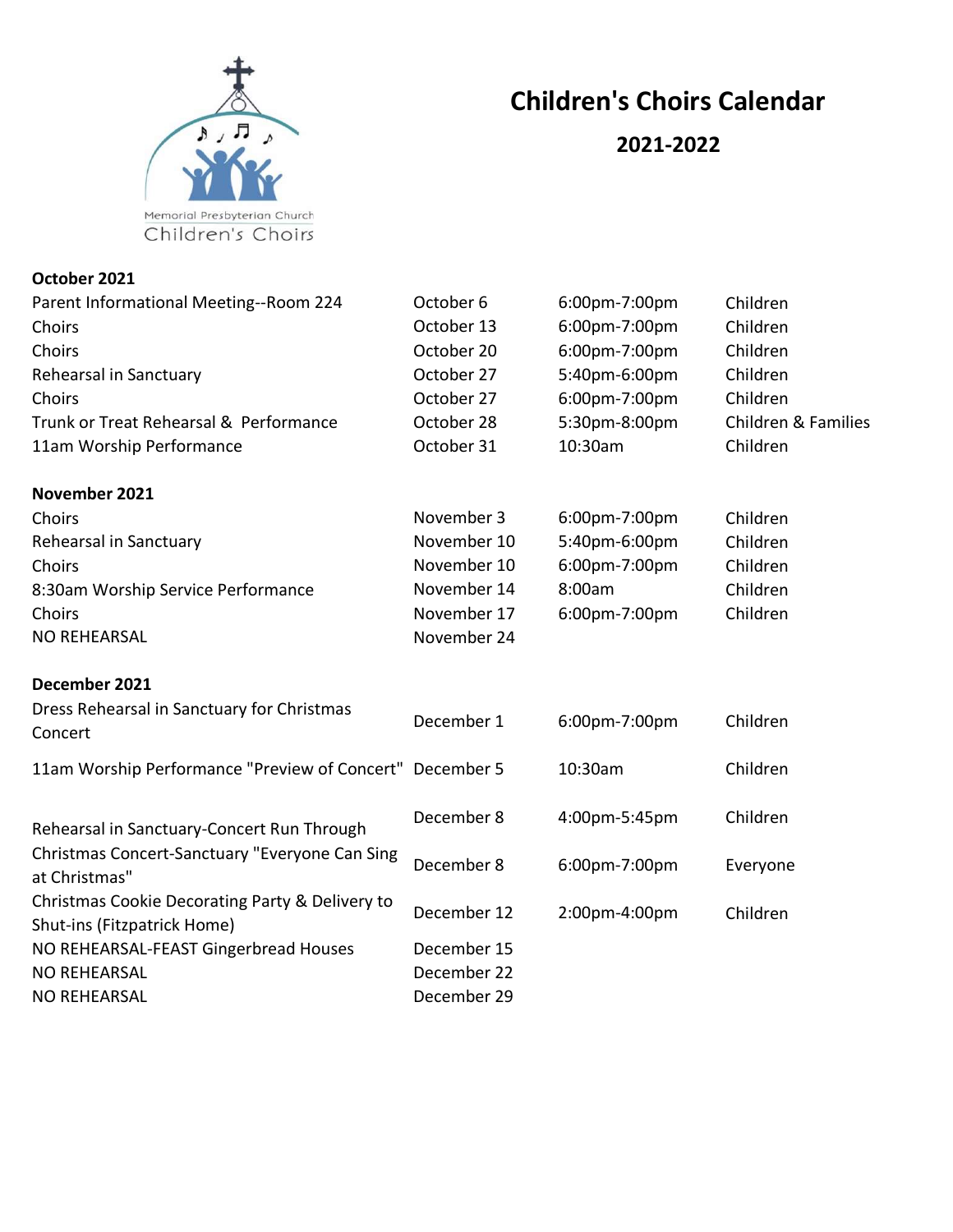

## Children's Choirs Calendar

## 2021-2022

October 2021

| Parent Informational Meeting--Room 224                                         | October 6   | 6:00pm-7:00pm | Children                       |
|--------------------------------------------------------------------------------|-------------|---------------|--------------------------------|
| Choirs                                                                         | October 13  | 6:00pm-7:00pm | Children                       |
| Choirs                                                                         | October 20  | 6:00pm-7:00pm | Children                       |
| Rehearsal in Sanctuary                                                         | October 27  | 5:40pm-6:00pm | Children                       |
| Choirs                                                                         | October 27  | 6:00pm-7:00pm | Children                       |
| Trunk or Treat Rehearsal & Performance                                         | October 28  | 5:30pm-8:00pm | <b>Children &amp; Families</b> |
| 11am Worship Performance                                                       | October 31  | 10:30am       | Children                       |
| November 2021                                                                  |             |               |                                |
| Choirs                                                                         | November 3  | 6:00pm-7:00pm | Children                       |
| Rehearsal in Sanctuary                                                         | November 10 | 5:40pm-6:00pm | Children                       |
| Choirs                                                                         | November 10 | 6:00pm-7:00pm | Children                       |
| 8:30am Worship Service Performance                                             | November 14 | 8:00am        | Children                       |
| Choirs                                                                         | November 17 | 6:00pm-7:00pm | Children                       |
| <b>NO REHEARSAL</b>                                                            | November 24 |               |                                |
| December 2021                                                                  |             |               |                                |
| Dress Rehearsal in Sanctuary for Christmas<br>Concert                          | December 1  | 6:00pm-7:00pm | Children                       |
| 11am Worship Performance "Preview of Concert" December 5                       |             | 10:30am       | Children                       |
| Rehearsal in Sanctuary-Concert Run Through                                     | December 8  | 4:00pm-5:45pm | Children                       |
| Christmas Concert-Sanctuary "Everyone Can Sing<br>at Christmas"                | December 8  | 6:00pm-7:00pm | Everyone                       |
| Christmas Cookie Decorating Party & Delivery to<br>Shut-ins (Fitzpatrick Home) | December 12 | 2:00pm-4:00pm | Children                       |
| NO REHEARSAL-FEAST Gingerbread Houses                                          | December 15 |               |                                |
| <b>NO REHEARSAL</b>                                                            | December 22 |               |                                |
| <b>NO REHEARSAL</b>                                                            | December 29 |               |                                |